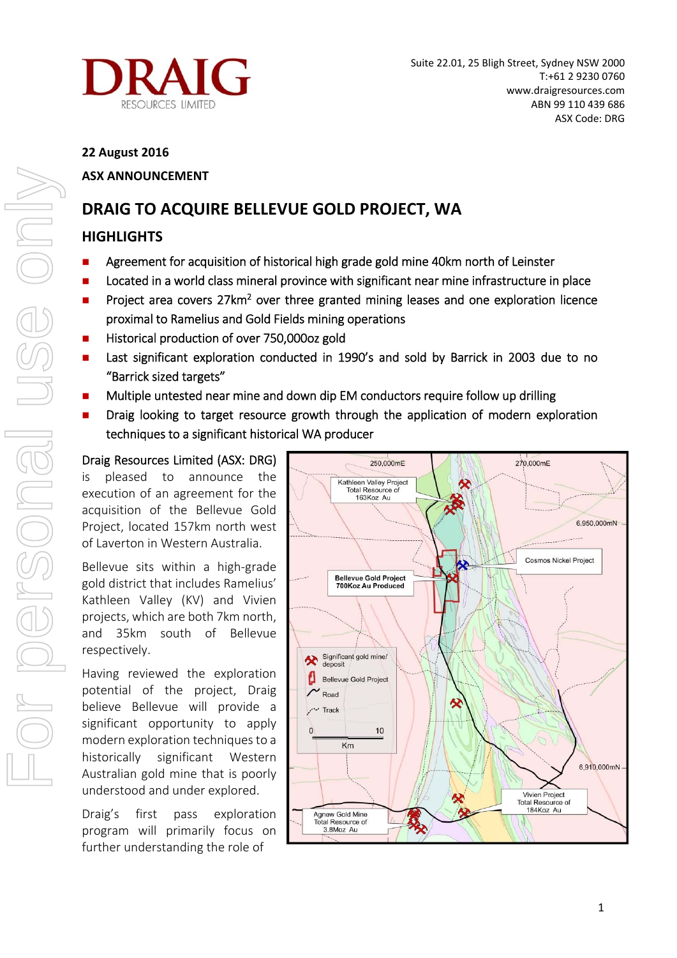

## **22 August 2016**

# **ASX ANNOUNCEMENT**

# **DRAIG TO ACQUIRE BELLEVUE GOLD PROJECT, WA**

# **HIGHLIGHTS**

- **Agreement for acquisition of historical high grade gold mine 40km north of Leinster**
- **Located in a world class mineral province with significant near mine infrastructure in place**
- **Project area covers 27km<sup>2</sup> over three granted mining leases and one exploration licence** proximal to Ramelius and Gold Fields mining operations
- Historical production of over 750,000oz gold
- **Last significant exploration conducted in 1990's and sold by Barrick in 2003 due to no** "Barrick sized targets"
- **Multiple untested near mine and down dip EM conductors require follow up drilling**
- **Draig looking to target resource growth through the application of modern exploration** techniques to a significant historical WA producer

# Draig Resources Limited (ASX: DRG)

is pleased to announce the execution of an agreement for the acquisition of the Bellevue Gold Project, located 157km north west of Laverton in Western Australia.

Bellevue sits within a high‐grade gold district that includes Ramelius' Kathleen Valley (KV) and Vivien projects, which are both 7km north, and 35km south of Bellevue respectively.

Having reviewed the exploration potential of the project, Draig believe Bellevue will provide a significant opportunity to apply modern exploration techniques to a historically significant Western Australian gold mine that is poorly understood and under explored.

Draig's first pass exploration program will primarily focus on further understanding the role of

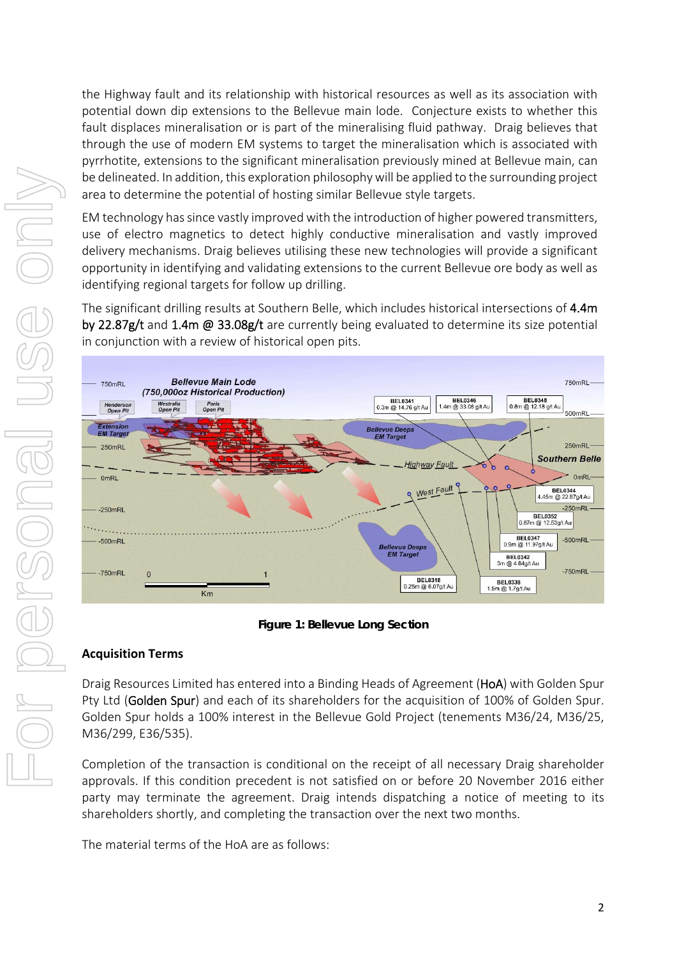the Highway fault and its relationship with historical resources as well as its association with potential down dip extensions to the Bellevue main lode. Conjecture exists to whether this fault displaces mineralisation or is part of the mineralising fluid pathway. Draig believes that through the use of modern EM systems to target the mineralisation which is associated with pyrrhotite, extensions to the significant mineralisation previously mined at Bellevue main, can be delineated. In addition, this exploration philosophy will be applied to the surrounding project area to determine the potential of hosting similar Bellevue style targets.

EM technology has since vastly improved with the introduction of higher powered transmitters, use of electro magnetics to detect highly conductive mineralisation and vastly improved delivery mechanisms. Draig believes utilising these new technologies will provide a significant opportunity in identifying and validating extensions to the current Bellevue ore body as well as identifying regional targets for follow up drilling.

The significant drilling results at Southern Belle, which includes historical intersections of 4.4m by 22.87g/t and 1.4m @ 33.08g/t are currently being evaluated to determine its size potential in conjunction with a review of historical open pits.



### **Figure 1: Bellevue Long Section**

### **Acquisition Terms**

Draig Resources Limited has entered into a Binding Heads of Agreement (HoA) with Golden Spur Pty Ltd (Golden Spur) and each of its shareholders for the acquisition of 100% of Golden Spur. Golden Spur holds a 100% interest in the Bellevue Gold Project (tenements M36/24, M36/25, M36/299, E36/535).

Completion of the transaction is conditional on the receipt of all necessary Draig shareholder approvals. If this condition precedent is not satisfied on or before 20 November 2016 either party may terminate the agreement. Draig intends dispatching a notice of meeting to its shareholders shortly, and completing the transaction over the next two months.

The material terms of the HoA are as follows: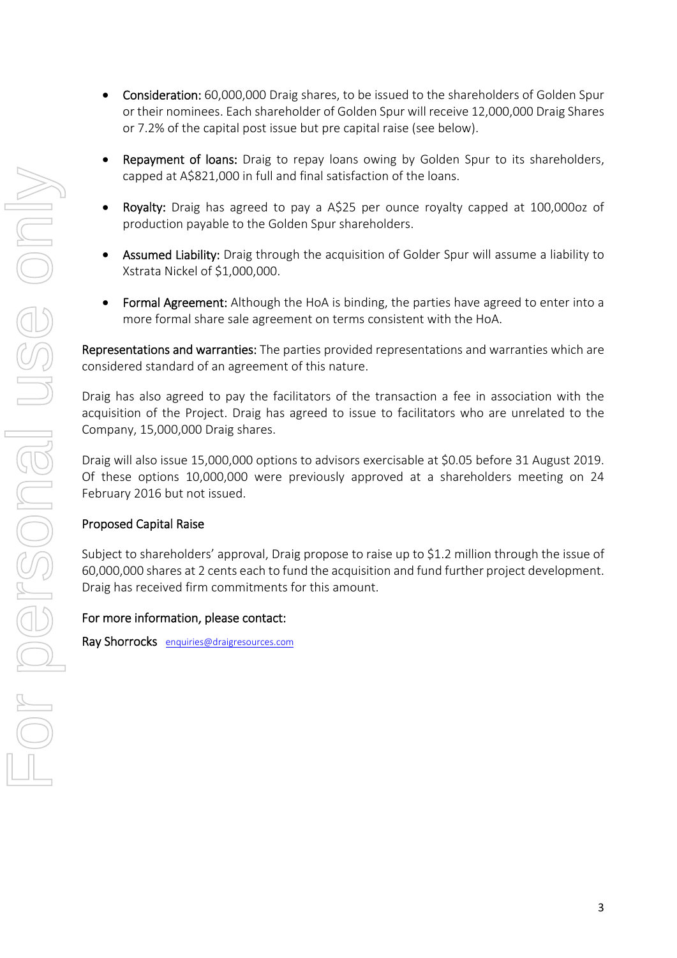- Consideration: 60,000,000 Draig shares, to be issued to the shareholders of Golden Spur or their nominees. Each shareholder of Golden Spur will receive 12,000,000 Draig Shares or 7.2% of the capital post issue but pre capital raise (see below). • Repayment of loans: Draig to repay loans owing by Golden Spur to its shareholders, capped at A\$821,000 in full and final satisfaction of the loans.
	- Royalty: Draig has agreed to pay a A\$25 per ounce royalty capped at 100,000oz of production payable to the Golden Spur shareholders.
	- Assumed Liability: Draig through the acquisition of Golder Spur will assume a liability to Xstrata Nickel of \$1,000,000.
	- Formal Agreement: Although the HoA is binding, the parties have agreed to enter into a more formal share sale agreement on terms consistent with the HoA.

Representations and warranties: The parties provided representations and warranties which are considered standard of an agreement of this nature.

Draig has also agreed to pay the facilitators of the transaction a fee in association with the acquisition of the Project. Draig has agreed to issue to facilitators who are unrelated to the Company, 15,000,000 Draig shares.

Draig will also issue 15,000,000 options to advisors exercisable at \$0.05 before 31 August 2019. Of these options 10,000,000 were previously approved at a shareholders meeting on 24 February 2016 but not issued.

# Proposed Capital Raise

Subject to shareholders' approval, Draig propose to raise up to \$1.2 million through the issue of 60,000,000 shares at 2 cents each to fund the acquisition and fund further project development. Draig has received firm commitments for this amount.

### For more information, please contact:

Ray Shorrocks enquiries@draigresources.com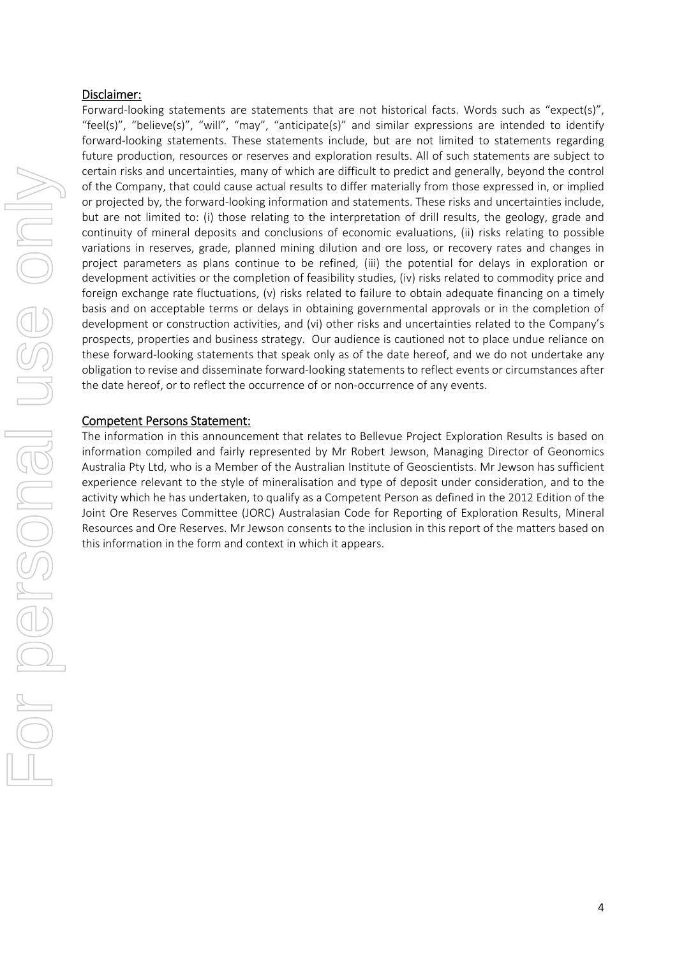#### Disclaimer:

Forward-looking statements are statements that are not historical facts. Words such as "expect(s)", "feel(s)", "believe(s)", "will", "may", "anticipate(s)" and similar expressions are intended to identify forward-looking statements. These statements include, but are not limited to statements regarding future production, resources or reserves and exploration results. All of such statements are subject to certain risks and uncertainties, many of which are difficult to predict and generally, beyond the control of the Company, that could cause actual results to differ materially from those expressed in, or implied or projected by, the forward‐looking information and statements. These risks and uncertainties include, but are not limited to: (i) those relating to the interpretation of drill results, the geology, grade and continuity of mineral deposits and conclusions of economic evaluations, (ii) risks relating to possible variations in reserves, grade, planned mining dilution and ore loss, or recovery rates and changes in project parameters as plans continue to be refined, (iii) the potential for delays in exploration or development activities or the completion of feasibility studies, (iv) risks related to commodity price and foreign exchange rate fluctuations, (v) risks related to failure to obtain adequate financing on a timely basis and on acceptable terms or delays in obtaining governmental approvals or in the completion of development or construction activities, and (vi) other risks and uncertainties related to the Company's prospects, properties and business strategy. Our audience is cautioned not to place undue reliance on these forward‐looking statements that speak only as of the date hereof, and we do not undertake any obligation to revise and disseminate forward‐looking statements to reflect events or circumstances after the date hereof, or to reflect the occurrence of or non‐occurrence of any events.

### Competent Persons Statement:

The information in this announcement that relates to Bellevue Project Exploration Results is based on information compiled and fairly represented by Mr Robert Jewson, Managing Director of Geonomics Australia Pty Ltd, who is a Member of the Australian Institute of Geoscientists. Mr Jewson has sufficient experience relevant to the style of mineralisation and type of deposit under consideration, and to the activity which he has undertaken, to qualify as a Competent Person as defined in the 2012 Edition of the Joint Ore Reserves Committee (JORC) Australasian Code for Reporting of Exploration Results, Mineral Resources and Ore Reserves. Mr Jewson consents to the inclusion in this report of the matters based on this information in the form and context in which it appears.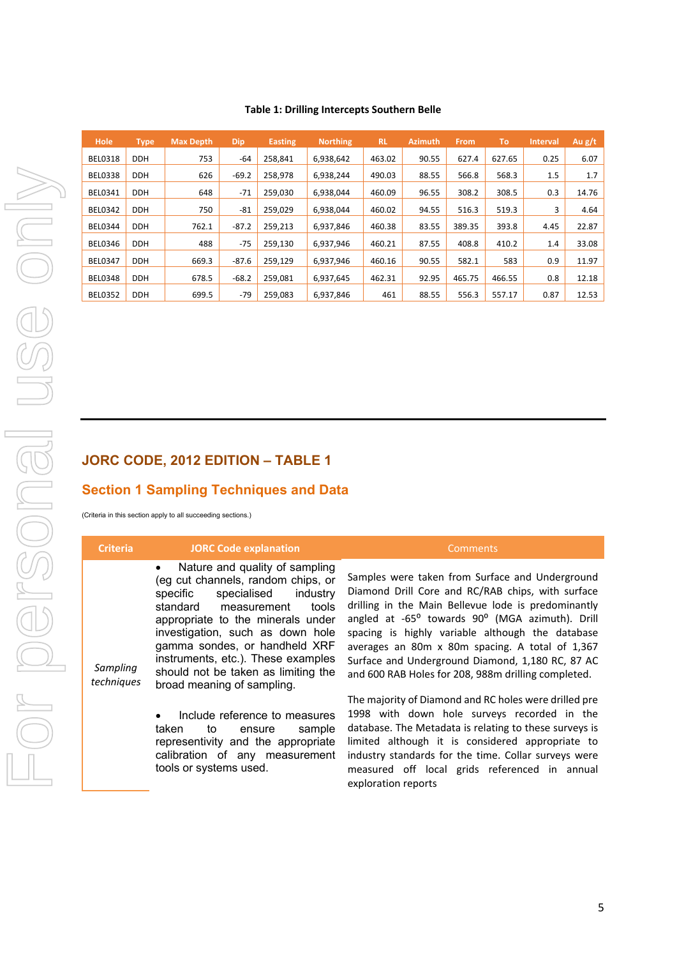#### **Table 1: Drilling Intercepts Southern Belle**

# **JORC CODE, 2012 EDITION – TABLE 1**

### **Section 1 Sampling Techniques and Data**

| <b>Criteria</b>        | <b>JORC Code explanation</b>                                                                                                                                                                                                                                                                                                                                                      | <b>Comments</b>                                                                                                                                                                                                                                                                                                                                                                                                                  |
|------------------------|-----------------------------------------------------------------------------------------------------------------------------------------------------------------------------------------------------------------------------------------------------------------------------------------------------------------------------------------------------------------------------------|----------------------------------------------------------------------------------------------------------------------------------------------------------------------------------------------------------------------------------------------------------------------------------------------------------------------------------------------------------------------------------------------------------------------------------|
| Sampling<br>techniques | Nature and quality of sampling<br>$\bullet$<br>(eg cut channels, random chips, or<br>specific<br>specialised<br>industry<br>tools<br>standard<br>measurement<br>appropriate to the minerals under<br>investigation, such as down hole<br>gamma sondes, or handheld XRF<br>instruments, etc.). These examples<br>should not be taken as limiting the<br>broad meaning of sampling. | Samples were taken from Surface and Underground<br>Diamond Drill Core and RC/RAB chips, with surface<br>drilling in the Main Bellevue lode is predominantly<br>angled at -65° towards 90° (MGA azimuth). Drill<br>spacing is highly variable although the database<br>averages an 80m x 80m spacing. A total of 1,367<br>Surface and Underground Diamond, 1,180 RC, 87 AC<br>and 600 RAB Holes for 208, 988m drilling completed. |
|                        | Include reference to measures<br>٠<br>taken<br>to<br>ensure<br>sample<br>representivity and the appropriate<br>calibration of any measurement<br>tools or systems used.                                                                                                                                                                                                           | The majority of Diamond and RC holes were drilled pre<br>1998 with down hole surveys recorded in the<br>database. The Metadata is relating to these surveys is<br>limited although it is considered appropriate to<br>industry standards for the time. Collar surveys were<br>measured off local grids referenced in annual<br>exploration reports                                                                               |

5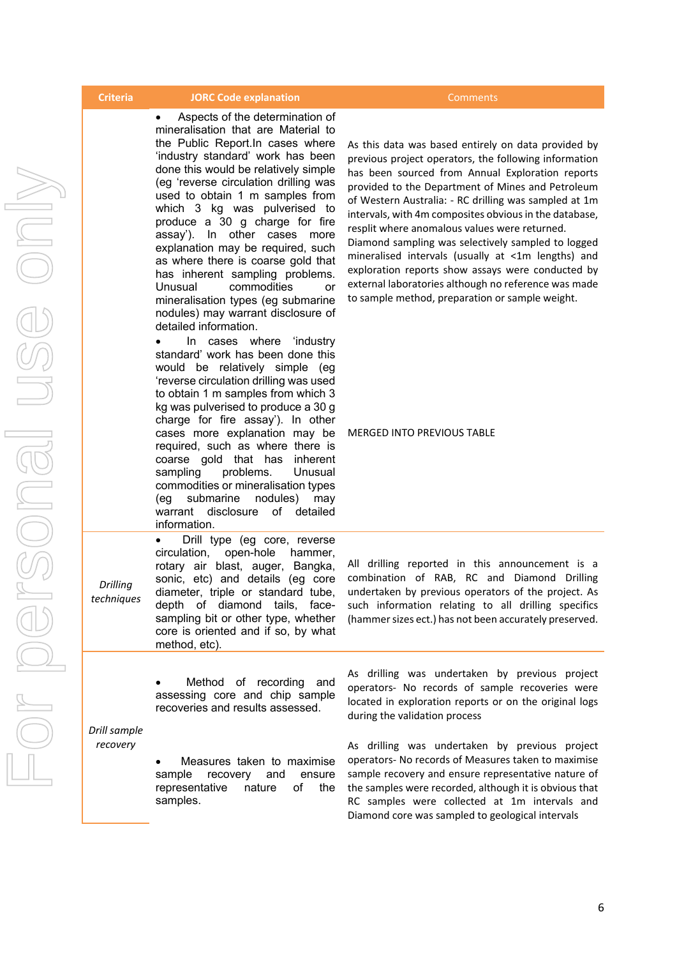#### **Criteria JORC Code explanation**  Comments

 Aspects of the determination of mineralisation that are Material to the Public Report.In cases where 'industry standard' work has been done this would be relatively simple (eg 'reverse circulation drilling was used to obtain 1 m samples from which 3 kg was pulverised to produce a 30 g charge for fire assay'). In other cases more explanation may be required, such as where there is coarse gold that has inherent sampling problems. Unusual commodities or mineralisation types (eg submarine nodules) may warrant disclosure of detailed information.

 In cases where 'industry standard' work has been done this would be relatively simple (eg 'reverse circulation drilling was used to obtain 1 m samples from which 3 kg was pulverised to produce a 30 g charge for fire assay'). In other cases more explanation may be required, such as where there is coarse gold that has inherent sampling problems. Unusual commodities or mineralisation types (eg submarine nodules) may warrant disclosure of detailed information.

 Drill type (eg core, reverse circulation, open-hole hammer, rotary air blast, auger, Bangka, sonic, etc) and details (eg core diameter, triple or standard tube, depth of diamond tails, facesampling bit or other type, whether core is oriented and if so, by what

*Drilling techniques* 

> Method of recording and assessing core and chip sample recoveries and results assessed.

method, etc).

*Drill sample recovery* 

> Measures taken to maximise sample recovery and ensure representative nature of the samples.

As this data was based entirely on data provided by previous project operators, the following information has been sourced from Annual Exploration reports provided to the Department of Mines and Petroleum of Western Australia: ‐ RC drilling was sampled at 1m intervals, with 4m composites obvious in the database, resplit where anomalous values were returned. Diamond sampling was selectively sampled to logged mineralised intervals (usually at <1m lengths) and exploration reports show assays were conducted by external laboratories although no reference was made to sample method, preparation or sample weight.

MERGED INTO PREVIOUS TABLE

All drilling reported in this announcement is a combination of RAB, RC and Diamond Drilling undertaken by previous operators of the project. As such information relating to all drilling specifics (hammer sizes ect.) has not been accurately preserved.

As drilling was undertaken by previous project operators‐ No records of sample recoveries were located in exploration reports or on the original logs during the validation process

As drilling was undertaken by previous project operators‐ No records of Measures taken to maximise sample recovery and ensure representative nature of the samples were recorded, although it is obvious that RC samples were collected at 1m intervals and Diamond core was sampled to geological intervals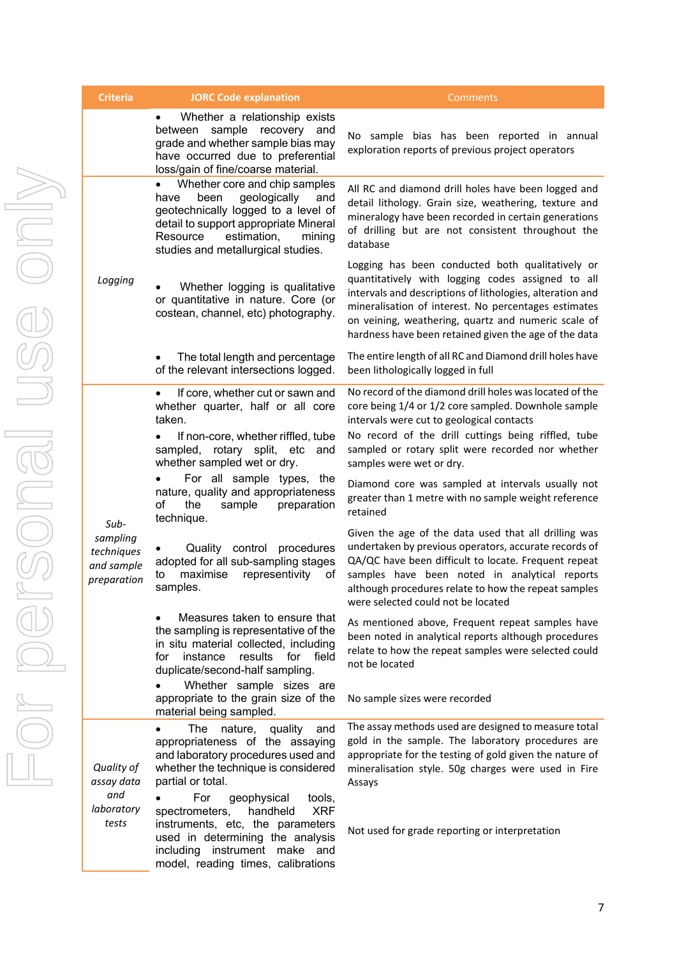| Criteria                                                    | <b>JORC Code explanation</b>                                                                                                                                                                                                                                                                                                                                                                                                                                                                                                                                                                                                  | Comments                                                                                                                                                                                                                                                                                                                                                                                                                                                                                                                                                                                                                                                                                                                                                                                                                                                                                                                                   |
|-------------------------------------------------------------|-------------------------------------------------------------------------------------------------------------------------------------------------------------------------------------------------------------------------------------------------------------------------------------------------------------------------------------------------------------------------------------------------------------------------------------------------------------------------------------------------------------------------------------------------------------------------------------------------------------------------------|--------------------------------------------------------------------------------------------------------------------------------------------------------------------------------------------------------------------------------------------------------------------------------------------------------------------------------------------------------------------------------------------------------------------------------------------------------------------------------------------------------------------------------------------------------------------------------------------------------------------------------------------------------------------------------------------------------------------------------------------------------------------------------------------------------------------------------------------------------------------------------------------------------------------------------------------|
|                                                             | Whether a relationship exists<br>$\bullet$<br>sample<br>recovery<br>and<br>between<br>grade and whether sample bias may<br>have occurred due to preferential<br>loss/gain of fine/coarse material.                                                                                                                                                                                                                                                                                                                                                                                                                            | No sample bias has been reported in annual<br>exploration reports of previous project operators                                                                                                                                                                                                                                                                                                                                                                                                                                                                                                                                                                                                                                                                                                                                                                                                                                            |
|                                                             | Whether core and chip samples<br>$\bullet$<br>geologically<br>been<br>and<br>have<br>geotechnically logged to a level of<br>detail to support appropriate Mineral<br>estimation,<br>mining<br>Resource<br>studies and metallurgical studies.                                                                                                                                                                                                                                                                                                                                                                                  | All RC and diamond drill holes have been logged and<br>detail lithology. Grain size, weathering, texture and<br>mineralogy have been recorded in certain generations<br>of drilling but are not consistent throughout the<br>database                                                                                                                                                                                                                                                                                                                                                                                                                                                                                                                                                                                                                                                                                                      |
| Logging                                                     | Whether logging is qualitative<br>or quantitative in nature. Core (or<br>costean, channel, etc) photography.                                                                                                                                                                                                                                                                                                                                                                                                                                                                                                                  | Logging has been conducted both qualitatively or<br>quantitatively with logging codes assigned to all<br>intervals and descriptions of lithologies, alteration and<br>mineralisation of interest. No percentages estimates<br>on veining, weathering, quartz and numeric scale of<br>hardness have been retained given the age of the data                                                                                                                                                                                                                                                                                                                                                                                                                                                                                                                                                                                                 |
|                                                             | The total length and percentage<br>of the relevant intersections logged.                                                                                                                                                                                                                                                                                                                                                                                                                                                                                                                                                      | The entire length of all RC and Diamond drill holes have<br>been lithologically logged in full                                                                                                                                                                                                                                                                                                                                                                                                                                                                                                                                                                                                                                                                                                                                                                                                                                             |
| Sub-<br>sampling<br>techniques<br>and sample<br>preparation | If core, whether cut or sawn and<br>$\bullet$<br>whether quarter, half or all core<br>taken.<br>If non-core, whether riffled, tube<br>sampled, rotary split, etc<br>and<br>whether sampled wet or dry.<br>For all sample types, the<br>nature, quality and appropriateness<br>the<br>οf<br>sample<br>preparation<br>technique.<br>Quality control<br>procedures<br>adopted for all sub-sampling stages<br>representivity<br>maximise<br>οf<br>to<br>samples.<br>Measures taken to ensure that<br>the sampling is representative of the<br>in situ material collected, including<br>for<br>instance<br>results<br>for<br>field | No record of the diamond drill holes was located of the<br>core being 1/4 or 1/2 core sampled. Downhole sample<br>intervals were cut to geological contacts<br>No record of the drill cuttings being riffled, tube<br>sampled or rotary split were recorded nor whether<br>samples were wet or dry.<br>Diamond core was sampled at intervals usually not<br>greater than 1 metre with no sample weight reference<br>retained<br>Given the age of the data used that all drilling was<br>undertaken by previous operators, accurate records of<br>QA/QC have been difficult to locate. Frequent repeat<br>samples have been noted in analytical reports<br>although procedures relate to how the repeat samples<br>were selected could not be located<br>As mentioned above, Frequent repeat samples have<br>been noted in analytical reports although procedures<br>relate to how the repeat samples were selected could<br>not be located |
|                                                             | duplicate/second-half sampling.<br>Whether sample sizes are<br>$\bullet$<br>appropriate to the grain size of the<br>material being sampled.                                                                                                                                                                                                                                                                                                                                                                                                                                                                                   | No sample sizes were recorded                                                                                                                                                                                                                                                                                                                                                                                                                                                                                                                                                                                                                                                                                                                                                                                                                                                                                                              |
| Quality of<br>assay data<br>and<br>laboratory<br>tests      | The<br>nature,<br>quality<br>and<br>appropriateness of the assaying<br>and laboratory procedures used and<br>whether the technique is considered<br>partial or total.<br>For<br>tools,<br>geophysical<br><b>XRF</b><br>spectrometers,<br>handheld                                                                                                                                                                                                                                                                                                                                                                             | The assay methods used are designed to measure total<br>gold in the sample. The laboratory procedures are<br>appropriate for the testing of gold given the nature of<br>mineralisation style. 50g charges were used in Fire<br>Assays                                                                                                                                                                                                                                                                                                                                                                                                                                                                                                                                                                                                                                                                                                      |
|                                                             | instruments, etc, the parameters<br>used in determining the analysis<br>including instrument make and<br>model, reading times, calibrations                                                                                                                                                                                                                                                                                                                                                                                                                                                                                   | Not used for grade reporting or interpretation                                                                                                                                                                                                                                                                                                                                                                                                                                                                                                                                                                                                                                                                                                                                                                                                                                                                                             |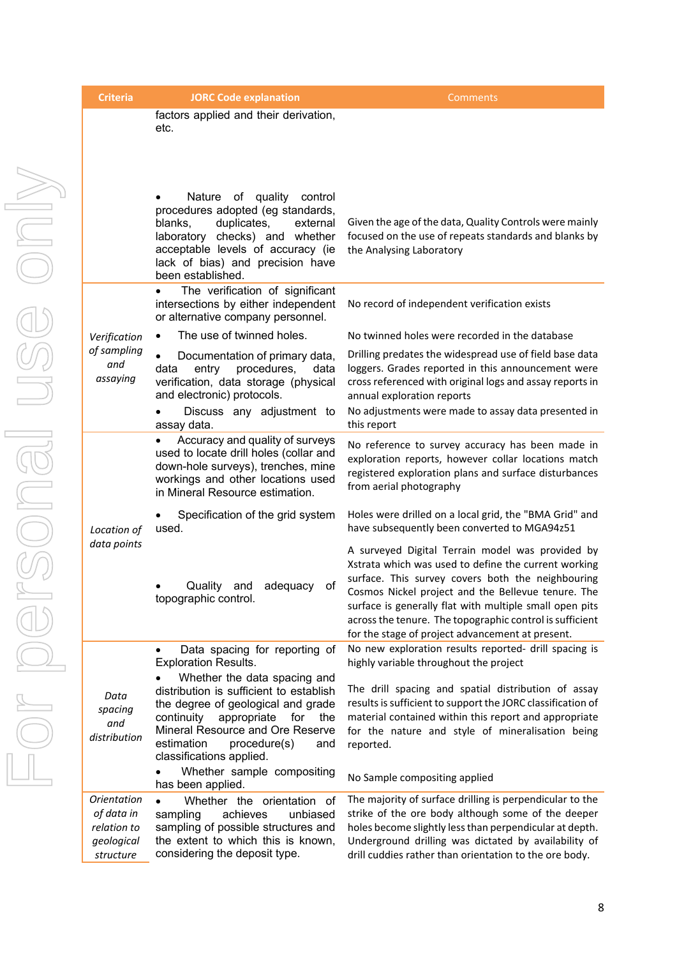| <b>Criteria</b>                                                            | <b>JORC Code explanation</b>                                                                                                                                                                                                                                  | Comments                                                                                                                                                                                                                                                                                                                                                                                       |
|----------------------------------------------------------------------------|---------------------------------------------------------------------------------------------------------------------------------------------------------------------------------------------------------------------------------------------------------------|------------------------------------------------------------------------------------------------------------------------------------------------------------------------------------------------------------------------------------------------------------------------------------------------------------------------------------------------------------------------------------------------|
|                                                                            | factors applied and their derivation,<br>etc.                                                                                                                                                                                                                 |                                                                                                                                                                                                                                                                                                                                                                                                |
|                                                                            | Nature of quality control<br>procedures adopted (eg standards,<br>duplicates,<br>blanks,<br>external<br>laboratory checks) and whether<br>acceptable levels of accuracy (ie<br>lack of bias) and precision have<br>been established.                          | Given the age of the data, Quality Controls were mainly<br>focused on the use of repeats standards and blanks by<br>the Analysing Laboratory                                                                                                                                                                                                                                                   |
|                                                                            | The verification of significant<br>intersections by either independent<br>or alternative company personnel.                                                                                                                                                   | No record of independent verification exists                                                                                                                                                                                                                                                                                                                                                   |
| Verification                                                               | The use of twinned holes.                                                                                                                                                                                                                                     | No twinned holes were recorded in the database                                                                                                                                                                                                                                                                                                                                                 |
| of sampling<br>and<br>assaying                                             | Documentation of primary data,<br>data<br>entry<br>procedures,<br>data<br>verification, data storage (physical<br>and electronic) protocols.                                                                                                                  | Drilling predates the widespread use of field base data<br>loggers. Grades reported in this announcement were<br>cross referenced with original logs and assay reports in<br>annual exploration reports                                                                                                                                                                                        |
|                                                                            | Discuss any adjustment to<br>assay data.                                                                                                                                                                                                                      | No adjustments were made to assay data presented in<br>this report                                                                                                                                                                                                                                                                                                                             |
|                                                                            | Accuracy and quality of surveys<br>used to locate drill holes (collar and<br>down-hole surveys), trenches, mine<br>workings and other locations used<br>in Mineral Resource estimation.                                                                       | No reference to survey accuracy has been made in<br>exploration reports, however collar locations match<br>registered exploration plans and surface disturbances<br>from aerial photography                                                                                                                                                                                                    |
| Location of                                                                | Specification of the grid system<br>used.                                                                                                                                                                                                                     | Holes were drilled on a local grid, the "BMA Grid" and<br>have subsequently been converted to MGA94z51                                                                                                                                                                                                                                                                                         |
| data points                                                                | Quality<br>adequacy<br>and<br>Οt<br>topographic control.                                                                                                                                                                                                      | A surveyed Digital Terrain model was provided by<br>Xstrata which was used to define the current working<br>surface. This survey covers both the neighbouring<br>Cosmos Nickel project and the Bellevue tenure. The<br>surface is generally flat with multiple small open pits<br>across the tenure. The topographic control is sufficient<br>for the stage of project advancement at present. |
|                                                                            | Data spacing for reporting of<br><b>Exploration Results.</b>                                                                                                                                                                                                  | No new exploration results reported- drill spacing is<br>highly variable throughout the project                                                                                                                                                                                                                                                                                                |
| Data<br>spacing<br>and<br>distribution                                     | Whether the data spacing and<br>distribution is sufficient to establish<br>the degree of geological and grade<br>continuity<br>appropriate<br>for<br>the<br>Mineral Resource and Ore Reserve<br>estimation<br>procedure(s)<br>and<br>classifications applied. | The drill spacing and spatial distribution of assay<br>results is sufficient to support the JORC classification of<br>material contained within this report and appropriate<br>for the nature and style of mineralisation being<br>reported.                                                                                                                                                   |
|                                                                            | Whether sample compositing<br>has been applied.                                                                                                                                                                                                               | No Sample compositing applied                                                                                                                                                                                                                                                                                                                                                                  |
| <b>Orientation</b><br>of data in<br>relation to<br>geological<br>structure | Whether the orientation of<br>achieves<br>unbiased<br>sampling<br>sampling of possible structures and<br>the extent to which this is known,<br>considering the deposit type.                                                                                  | The majority of surface drilling is perpendicular to the<br>strike of the ore body although some of the deeper<br>holes become slightly less than perpendicular at depth.<br>Underground drilling was dictated by availability of<br>drill cuddies rather than orientation to the ore body.                                                                                                    |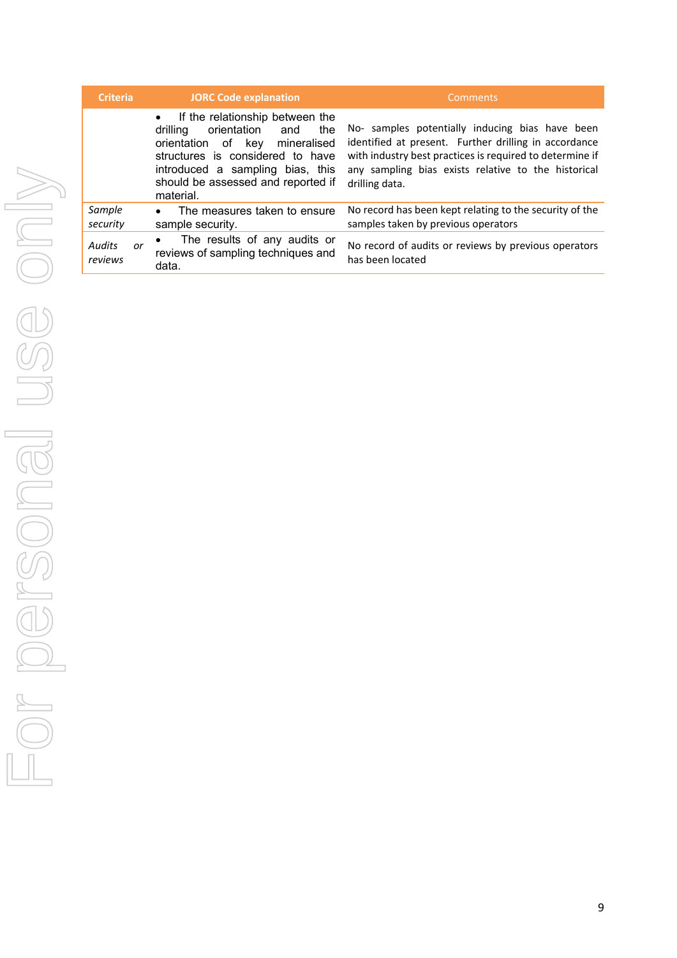| <b>Criteria</b>         | <b>JORC Code explanation</b>                                                                                                                                                                                                             | Comments                                                                                                                                                                                                                                      |
|-------------------------|------------------------------------------------------------------------------------------------------------------------------------------------------------------------------------------------------------------------------------------|-----------------------------------------------------------------------------------------------------------------------------------------------------------------------------------------------------------------------------------------------|
|                         | If the relationship between the<br>orientation<br>drilling<br>and<br>the<br>orientation of key<br>mineralised<br>structures is considered to have<br>introduced a sampling bias, this<br>should be assessed and reported if<br>material. | No- samples potentially inducing bias have been<br>identified at present. Further drilling in accordance<br>with industry best practices is required to determine if<br>any sampling bias exists relative to the historical<br>drilling data. |
| Sample<br>security      | The measures taken to ensure<br>$\bullet$<br>sample security.                                                                                                                                                                            | No record has been kept relating to the security of the<br>samples taken by previous operators                                                                                                                                                |
| Audits<br>or<br>reviews | The results of any audits or<br>reviews of sampling techniques and<br>data.                                                                                                                                                              | No record of audits or reviews by previous operators<br>has been located                                                                                                                                                                      |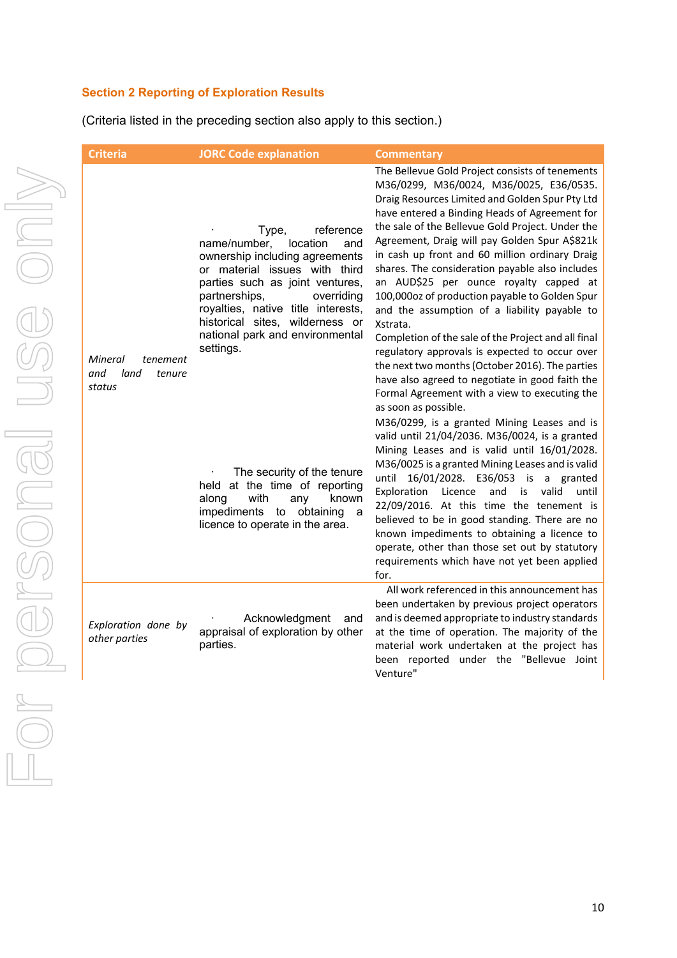# **Section 2 Reporting of Exploration Results**

(Criteria listed in the preceding section also apply to this section.)

| <b>Criteria</b>                                        | <b>JORC Code explanation</b>                                                                                                                                                                                                                                                                                        | <b>Commentary</b>                                                                                                                                                                                                                                                                                                                                                                                                                                                                                                                                                                                                                                                                                                                                                                                                                                        |
|--------------------------------------------------------|---------------------------------------------------------------------------------------------------------------------------------------------------------------------------------------------------------------------------------------------------------------------------------------------------------------------|----------------------------------------------------------------------------------------------------------------------------------------------------------------------------------------------------------------------------------------------------------------------------------------------------------------------------------------------------------------------------------------------------------------------------------------------------------------------------------------------------------------------------------------------------------------------------------------------------------------------------------------------------------------------------------------------------------------------------------------------------------------------------------------------------------------------------------------------------------|
| Mineral<br>tenement<br>and<br>land<br>tenure<br>status | reference<br>Type,<br>name/number,<br>location<br>and<br>ownership including agreements<br>or material issues with third<br>parties such as joint ventures,<br>partnerships,<br>overriding<br>royalties, native title interests,<br>historical sites, wilderness or<br>national park and environmental<br>settings. | The Bellevue Gold Project consists of tenements<br>M36/0299, M36/0024, M36/0025, E36/0535.<br>Draig Resources Limited and Golden Spur Pty Ltd<br>have entered a Binding Heads of Agreement for<br>the sale of the Bellevue Gold Project. Under the<br>Agreement, Draig will pay Golden Spur A\$821k<br>in cash up front and 60 million ordinary Draig<br>shares. The consideration payable also includes<br>an AUD\$25 per ounce royalty capped at<br>100,000oz of production payable to Golden Spur<br>and the assumption of a liability payable to<br>Xstrata.<br>Completion of the sale of the Project and all final<br>regulatory approvals is expected to occur over<br>the next two months (October 2016). The parties<br>have also agreed to negotiate in good faith the<br>Formal Agreement with a view to executing the<br>as soon as possible. |
|                                                        | The security of the tenure<br>held at the time of reporting<br>with<br>known<br>along<br>any<br>impediments<br>obtaining<br>to<br>a<br>licence to operate in the area.                                                                                                                                              | M36/0299, is a granted Mining Leases and is<br>valid until 21/04/2036. M36/0024, is a granted<br>Mining Leases and is valid until 16/01/2028.<br>M36/0025 is a granted Mining Leases and is valid<br>16/01/2028. E36/053 is a granted<br>until<br>and<br>is<br>valid<br>Exploration<br>Licence<br>until<br>22/09/2016. At this time the tenement is<br>believed to be in good standing. There are no<br>known impediments to obtaining a licence to<br>operate, other than those set out by statutory<br>requirements which have not yet been applied<br>for.                                                                                                                                                                                                                                                                                            |
| Exploration done by<br>other parties                   | Acknowledgment<br>and<br>appraisal of exploration by other<br>parties.                                                                                                                                                                                                                                              | All work referenced in this announcement has<br>been undertaken by previous project operators<br>and is deemed appropriate to industry standards<br>at the time of operation. The majority of the<br>material work undertaken at the project has<br>been reported under the "Bellevue Joint<br>Venture"                                                                                                                                                                                                                                                                                                                                                                                                                                                                                                                                                  |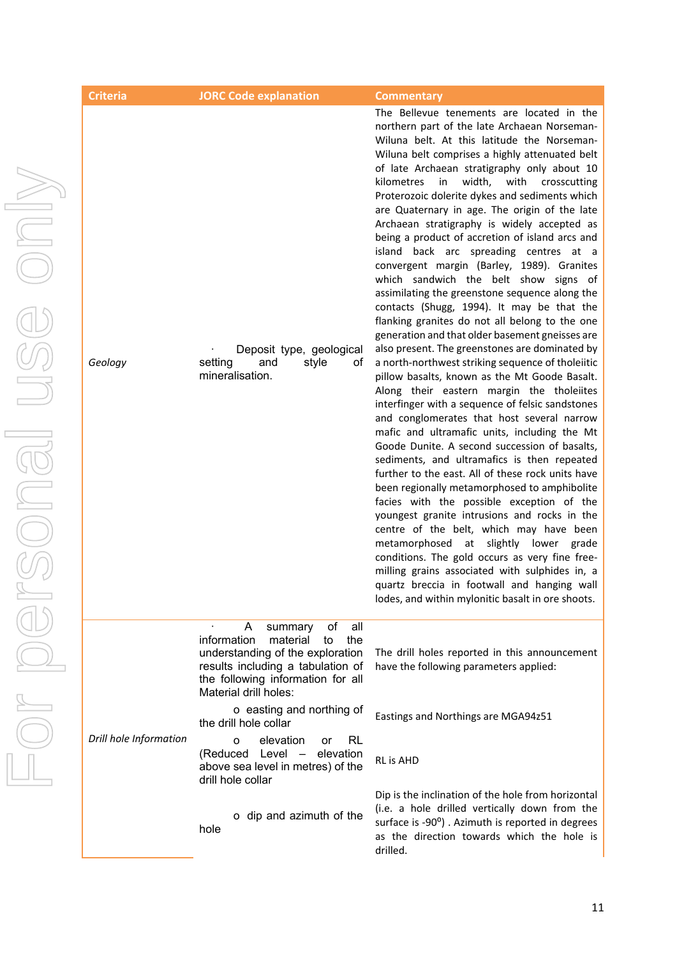|  | <b>Criteria</b>        | <b>JORC Code explanation</b>                                                                                                                                                                             | <b>Commentary</b>                                                                                                                                                                                                                                                                                                                                                                                                                                                                                                                                                                                                                                                                                                                                                                                                                                                                                                                                                                                                                                                                                                                                                                                                                                                                                                                                                                                                                                                                                                                                                                                                                                                                                                                                                                                       |
|--|------------------------|----------------------------------------------------------------------------------------------------------------------------------------------------------------------------------------------------------|---------------------------------------------------------------------------------------------------------------------------------------------------------------------------------------------------------------------------------------------------------------------------------------------------------------------------------------------------------------------------------------------------------------------------------------------------------------------------------------------------------------------------------------------------------------------------------------------------------------------------------------------------------------------------------------------------------------------------------------------------------------------------------------------------------------------------------------------------------------------------------------------------------------------------------------------------------------------------------------------------------------------------------------------------------------------------------------------------------------------------------------------------------------------------------------------------------------------------------------------------------------------------------------------------------------------------------------------------------------------------------------------------------------------------------------------------------------------------------------------------------------------------------------------------------------------------------------------------------------------------------------------------------------------------------------------------------------------------------------------------------------------------------------------------------|
|  | Geology                | Deposit type, geological<br>and<br>setting<br>style<br>ot<br>mineralisation.                                                                                                                             | The Bellevue tenements are located in the<br>northern part of the late Archaean Norseman-<br>Wiluna belt. At this latitude the Norseman-<br>Wiluna belt comprises a highly attenuated belt<br>of late Archaean stratigraphy only about 10<br>width,<br>with<br>kilometres<br>in the set<br>crosscutting<br>Proterozoic dolerite dykes and sediments which<br>are Quaternary in age. The origin of the late<br>Archaean stratigraphy is widely accepted as<br>being a product of accretion of island arcs and<br>island back arc spreading centres at a<br>convergent margin (Barley, 1989). Granites<br>which sandwich the belt show signs of<br>assimilating the greenstone sequence along the<br>contacts (Shugg, 1994). It may be that the<br>flanking granites do not all belong to the one<br>generation and that older basement gneisses are<br>also present. The greenstones are dominated by<br>a north-northwest striking sequence of tholeiitic<br>pillow basalts, known as the Mt Goode Basalt.<br>Along their eastern margin the tholeiites<br>interfinger with a sequence of felsic sandstones<br>and conglomerates that host several narrow<br>mafic and ultramafic units, including the Mt<br>Goode Dunite. A second succession of basalts,<br>sediments, and ultramafics is then repeated<br>further to the east. All of these rock units have<br>been regionally metamorphosed to amphibolite<br>facies with the possible exception of the<br>youngest granite intrusions and rocks in the<br>centre of the belt, which may have been<br>metamorphosed at slightly lower grade<br>conditions. The gold occurs as very fine free-<br>milling grains associated with sulphides in, a<br>quartz breccia in footwall and hanging wall<br>lodes, and within mylonitic basalt in ore shoots. |
|  | Drill hole Information | of<br>all<br>A<br>summary<br>information<br>material<br>the<br>to<br>understanding of the exploration<br>results including a tabulation of<br>the following information for all<br>Material drill holes: | The drill holes reported in this announcement<br>have the following parameters applied:                                                                                                                                                                                                                                                                                                                                                                                                                                                                                                                                                                                                                                                                                                                                                                                                                                                                                                                                                                                                                                                                                                                                                                                                                                                                                                                                                                                                                                                                                                                                                                                                                                                                                                                 |
|  |                        | o easting and northing of<br>the drill hole collar                                                                                                                                                       | Eastings and Northings are MGA94z51                                                                                                                                                                                                                                                                                                                                                                                                                                                                                                                                                                                                                                                                                                                                                                                                                                                                                                                                                                                                                                                                                                                                                                                                                                                                                                                                                                                                                                                                                                                                                                                                                                                                                                                                                                     |
|  |                        | elevation<br><b>RL</b><br>O<br>or<br>Level - elevation<br>(Reduced<br>above sea level in metres) of the<br>drill hole collar                                                                             | RL is AHD                                                                                                                                                                                                                                                                                                                                                                                                                                                                                                                                                                                                                                                                                                                                                                                                                                                                                                                                                                                                                                                                                                                                                                                                                                                                                                                                                                                                                                                                                                                                                                                                                                                                                                                                                                                               |
|  |                        | o dip and azimuth of the<br>hole                                                                                                                                                                         | Dip is the inclination of the hole from horizontal<br>(i.e. a hole drilled vertically down from the<br>surface is -90°). Azimuth is reported in degrees<br>as the direction towards which the hole is<br>drilled.                                                                                                                                                                                                                                                                                                                                                                                                                                                                                                                                                                                                                                                                                                                                                                                                                                                                                                                                                                                                                                                                                                                                                                                                                                                                                                                                                                                                                                                                                                                                                                                       |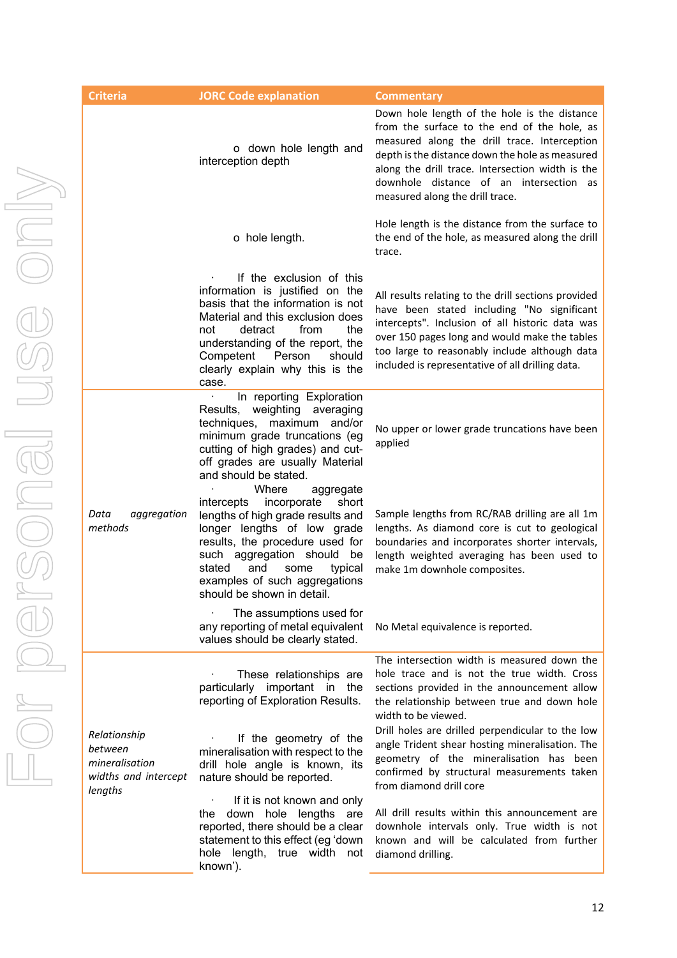| <b>Criteria</b>                                                              | <b>JORC Code explanation</b>                                                                                                                                                                                                                                                                        | <b>Commentary</b>                                                                                                                                                                                                                                                                                                                |
|------------------------------------------------------------------------------|-----------------------------------------------------------------------------------------------------------------------------------------------------------------------------------------------------------------------------------------------------------------------------------------------------|----------------------------------------------------------------------------------------------------------------------------------------------------------------------------------------------------------------------------------------------------------------------------------------------------------------------------------|
|                                                                              | o down hole length and<br>interception depth                                                                                                                                                                                                                                                        | Down hole length of the hole is the distance<br>from the surface to the end of the hole, as<br>measured along the drill trace. Interception<br>depth is the distance down the hole as measured<br>along the drill trace. Intersection width is the<br>downhole distance of an intersection as<br>measured along the drill trace. |
|                                                                              | o hole length.                                                                                                                                                                                                                                                                                      | Hole length is the distance from the surface to<br>the end of the hole, as measured along the drill<br>trace.                                                                                                                                                                                                                    |
|                                                                              | If the exclusion of this<br>information is justified on the<br>basis that the information is not<br>Material and this exclusion does<br>detract<br>from<br>the<br>not<br>understanding of the report, the<br>Competent<br>Person<br>should<br>clearly explain why this is the<br>case.              | All results relating to the drill sections provided<br>have been stated including "No significant<br>intercepts". Inclusion of all historic data was<br>over 150 pages long and would make the tables<br>too large to reasonably include although data<br>included is representative of all drilling data.                       |
|                                                                              | In reporting Exploration<br>weighting<br>Results,<br>averaging<br>techniques, maximum<br>and/or<br>minimum grade truncations (eg<br>cutting of high grades) and cut-<br>off grades are usually Material<br>and should be stated.                                                                    | No upper or lower grade truncations have been<br>applied                                                                                                                                                                                                                                                                         |
| Data<br>aggregation<br>methods                                               | Where<br>aggregate<br>incorporate<br>intercepts<br>short<br>lengths of high grade results and<br>longer lengths of low grade<br>results, the procedure used for<br>such aggregation should<br>be<br>stated<br>and<br>some<br>typical<br>examples of such aggregations<br>should be shown in detail. | Sample lengths from RC/RAB drilling are all 1m<br>lengths. As diamond core is cut to geological<br>boundaries and incorporates shorter intervals,<br>length weighted averaging has been used to<br>make 1m downhole composites.                                                                                                  |
|                                                                              | The assumptions used for<br>any reporting of metal equivalent<br>values should be clearly stated.                                                                                                                                                                                                   | No Metal equivalence is reported.                                                                                                                                                                                                                                                                                                |
|                                                                              | These relationships are<br>particularly important<br>the<br>in<br>reporting of Exploration Results.                                                                                                                                                                                                 | The intersection width is measured down the<br>hole trace and is not the true width. Cross<br>sections provided in the announcement allow<br>the relationship between true and down hole<br>width to be viewed.                                                                                                                  |
| Relationship<br>between<br>mineralisation<br>widths and intercept<br>lengths | If the geometry of the<br>mineralisation with respect to the<br>drill hole angle is known, its<br>nature should be reported.                                                                                                                                                                        | Drill holes are drilled perpendicular to the low<br>angle Trident shear hosting mineralisation. The<br>geometry of the mineralisation has been<br>confirmed by structural measurements taken<br>from diamond drill core                                                                                                          |
|                                                                              | If it is not known and only<br>down<br>hole lengths<br>are<br>the<br>reported, there should be a clear<br>statement to this effect (eg 'down<br>hole length, true width not<br>known').                                                                                                             | All drill results within this announcement are<br>downhole intervals only. True width is not<br>known and will be calculated from further<br>diamond drilling.                                                                                                                                                                   |